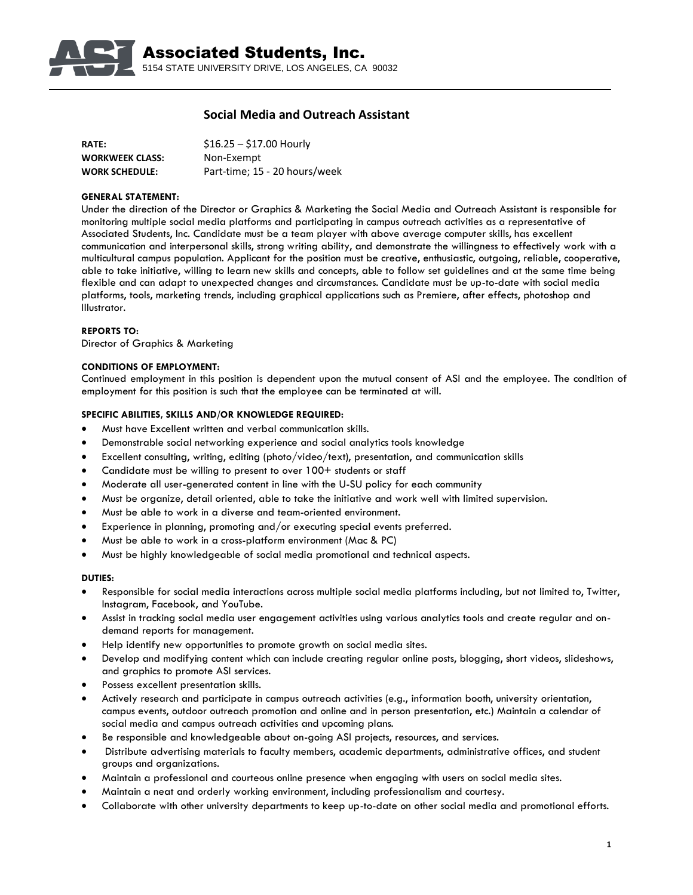

# **Social Media and Outreach Assistant**

| <b>RATE:</b>           | $$16.25 - $17.00$ Hourly      |
|------------------------|-------------------------------|
| <b>WORKWEEK CLASS:</b> | Non-Exempt                    |
| <b>WORK SCHEDULE:</b>  | Part-time; 15 - 20 hours/week |

### **GENERAL STATEMENT:**

Under the direction of the Director or Graphics & Marketing the Social Media and Outreach Assistant is responsible for monitoring multiple social media platforms and participating in campus outreach activities as a representative of Associated Students, Inc. Candidate must be a team player with above average computer skills, has excellent communication and interpersonal skills, strong writing ability, and demonstrate the willingness to effectively work with a multicultural campus population. Applicant for the position must be creative, enthusiastic, outgoing, reliable, cooperative, able to take initiative, willing to learn new skills and concepts, able to follow set guidelines and at the same time being flexible and can adapt to unexpected changes and circumstances. Candidate must be up-to-date with social media platforms, tools, marketing trends, including graphical applications such as Premiere, after effects, photoshop and Illustrator.

## **REPORTS TO:**

Director of Graphics & Marketing

### **CONDITIONS OF EMPLOYMENT:**

Continued employment in this position is dependent upon the mutual consent of ASI and the employee. The condition of employment for this position is such that the employee can be terminated at will.

## **SPECIFIC ABILITIES, SKILLS AND/OR KNOWLEDGE REQUIRED:**

- Must have Excellent written and verbal communication skills.
- Demonstrable social networking experience and social analytics tools knowledge
- Excellent consulting, writing, editing (photo/video/text), presentation, and communication skills
- Candidate must be willing to present to over 100+ students or staff
- Moderate all user-generated content in line with the U-SU policy for each community
- Must be organize, detail oriented, able to take the initiative and work well with limited supervision.
- Must be able to work in a diverse and team-oriented environment.
- Experience in planning, promoting and/or executing special events preferred.
- Must be able to work in a cross-platform environment (Mac & PC)
- Must be highly knowledgeable of social media promotional and technical aspects.

### **DUTIES:**

- Responsible for social media interactions across multiple social media platforms including, but not limited to, Twitter, Instagram, Facebook, and YouTube.
- Assist in tracking social media user engagement activities using various analytics tools and create regular and ondemand reports for management.
- Help identify new opportunities to promote growth on social media sites.
- Develop and modifying content which can include creating regular online posts, blogging, short videos, slideshows, and graphics to promote ASI services.
- Possess excellent presentation skills.
- Actively research and participate in campus outreach activities (e.g., information booth, university orientation, campus events, outdoor outreach promotion and online and in person presentation, etc.) Maintain a calendar of social media and campus outreach activities and upcoming plans.
- Be responsible and knowledgeable about on-going ASI projects, resources, and services.
- Distribute advertising materials to faculty members, academic departments, administrative offices, and student groups and organizations.
- Maintain a professional and courteous online presence when engaging with users on social media sites.
- Maintain a neat and orderly working environment, including professionalism and courtesy.
- Collaborate with other university departments to keep up-to-date on other social media and promotional efforts.